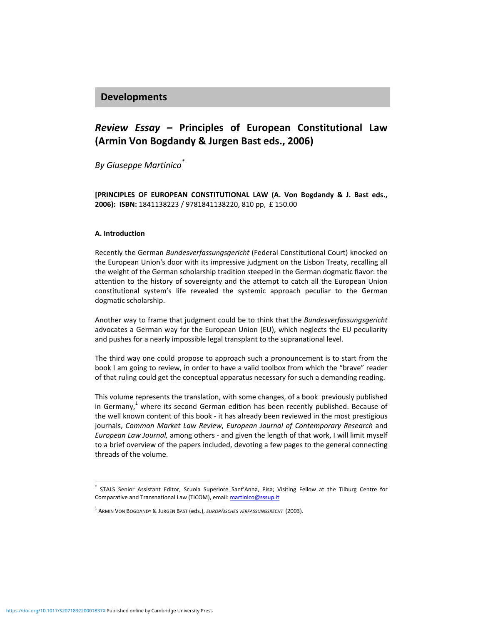## **Developments**

# *Review Essay –* **Principles of European Constitutional Law (Armin Von Bogdandy & Jurgen Bast eds., 2006)**

*By Giuseppe Martinico\**

**[PRINCIPLES OF EUROPEAN CONSTITUTIONAL LAW (A. Von Bogdandy & J. Bast eds., 2006): ISBN:** 1841138223 / 9781841138220, 810 pp, £ 150.00

#### **A. Introduction**

Recently the German *Bundesverfassungsgericht* (Federal Constitutional Court) knocked on the European Union's door with its impressive judgment on the Lisbon Treaty, recalling all the weight of the German scholarship tradition steeped in the German dogmatic flavor: the attention to the history of sovereignty and the attempt to catch all the European Union constitutional system's life revealed the systemic approach peculiar to the German dogmatic scholarship.

Another way to frame that judgment could be to think that the *Bundesverfassungsgericht* advocates a German way for the European Union (EU), which neglects the EU peculiarity and pushes for a nearly impossible legal transplant to the supranational level.

The third way one could propose to approach such a pronouncement is to start from the book I am going to review, in order to have a valid toolbox from which the "brave" reader of that ruling could get the conceptual apparatus necessary for such a demanding reading.

This volume represents the translation, with some changes, of a book previously published in Germany, $<sup>1</sup>$  where its second German edition has been recently published. Because of</sup> the well known content of this book ‐ it has already been reviewed in the most prestigious journals, *Common Market Law Review*, *European Journal of Contemporary Research* and *European Law Journal,* among others ‐ and given the length of that work, I will limit myself to a brief overview of the papers included, devoting a few pages to the general connecting threads of the volume.

l

STALS Senior Assistant Editor, Scuola Superiore Sant'Anna, Pisa; Visiting Fellow at the Tilburg Centre for Comparative and Transnational Law (TICOM), email: martinico@sssup.it

<sup>1</sup> ARMIN VON BOGDANDY & JURGEN BAST (eds.), *EUROPÄISCHES VERFASSUNGSRECHT* (2003).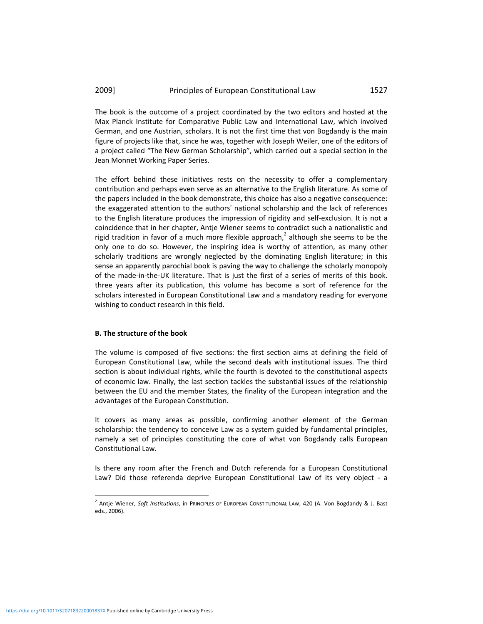#### 2009] Principles of European Constitutional Law 1527

The book is the outcome of a project coordinated by the two editors and hosted at the Max Planck Institute for Comparative Public Law and International Law, which involved German, and one Austrian, scholars. It is not the first time that von Bogdandy is the main figure of projects like that, since he was, together with Joseph Weiler, one of the editors of a project called "The New German Scholarship", which carried out a special section in the Jean Monnet Working Paper Series.

The effort behind these initiatives rests on the necessity to offer a complementary contribution and perhaps even serve as an alternative to the English literature. As some of the papers included in the book demonstrate, this choice has also a negative consequence: the exaggerated attention to the authors' national scholarship and the lack of references to the English literature produces the impression of rigidity and self‐exclusion. It is not a coincidence that in her chapter, Antje Wiener seems to contradict such a nationalistic and rigid tradition in favor of a much more flexible approach, $<sup>2</sup>$  although she seems to be the</sup> only one to do so. However, the inspiring idea is worthy of attention, as many other scholarly traditions are wrongly neglected by the dominating English literature; in this sense an apparently parochial book is paving the way to challenge the scholarly monopoly of the made‐in‐the‐UK literature. That is just the first of a series of merits of this book. three years after its publication, this volume has become a sort of reference for the scholars interested in European Constitutional Law and a mandatory reading for everyone wishing to conduct research in this field.

#### **B. The structure of the book**

The volume is composed of five sections: the first section aims at defining the field of European Constitutional Law, while the second deals with institutional issues. The third section is about individual rights, while the fourth is devoted to the constitutional aspects of economic law. Finally, the last section tackles the substantial issues of the relationship between the EU and the member States, the finality of the European integration and the advantages of the European Constitution.

It covers as many areas as possible, confirming another element of the German scholarship: the tendency to conceive Law as a system guided by fundamental principles, namely a set of principles constituting the core of what von Bogdandy calls European Constitutional Law.

Is there any room after the French and Dutch referenda for a European Constitutional Law? Did those referenda deprive European Constitutional Law of its very object - a

l

<sup>2</sup> Antje Wiener, *Soft Institutions*, in PRINCIPLES OF EUROPEAN CONSTITUTIONAL LAW, 420 (A. Von Bogdandy & J. Bast eds., 2006).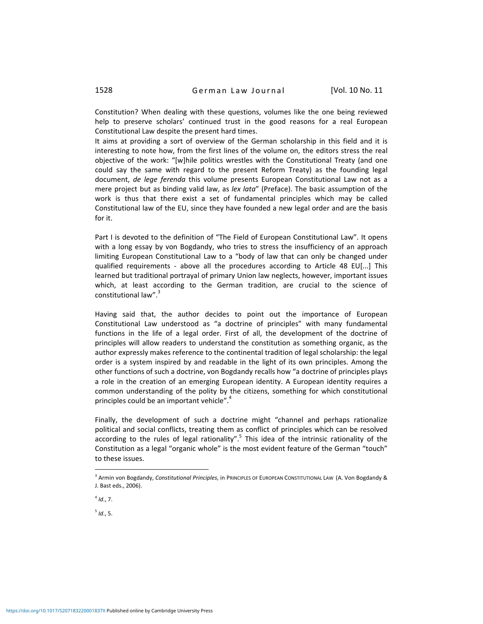Constitution? When dealing with these questions, volumes like the one being reviewed help to preserve scholars' continued trust in the good reasons for a real European Constitutional Law despite the present hard times.

It aims at providing a sort of overview of the German scholarship in this field and it is interesting to note how, from the first lines of the volume on, the editors stress the real objective of the work: "[w]hile politics wrestles with the Constitutional Treaty (and one could say the same with regard to the present Reform Treaty) as the founding legal document, *de lege ferenda* this volume presents European Constitutional Law not as a mere project but as binding valid law, as *lex lata*" (Preface). The basic assumption of the work is thus that there exist a set of fundamental principles which may be called Constitutional law of the EU, since they have founded a new legal order and are the basis for it.

Part I is devoted to the definition of "The Field of European Constitutional Law". It opens with a long essay by von Bogdandy, who tries to stress the insufficiency of an approach limiting European Constitutional Law to a "body of law that can only be changed under qualified requirements - above all the procedures according to Article 48 EU[...] This learned but traditional portrayal of primary Union law neglects, however, important issues which, at least according to the German tradition, are crucial to the science of constitutional law".<sup>3</sup>

Having said that, the author decides to point out the importance of European Constitutional Law understood as "a doctrine of principles" with many fundamental functions in the life of a legal order. First of all, the development of the doctrine of principles will allow readers to understand the constitution as something organic, as the author expressly makes reference to the continental tradition of legal scholarship: the legal order is a system inspired by and readable in the light of its own principles. Among the other functions of such a doctrine, von Bogdandy recalls how "a doctrine of principles plays a role in the creation of an emerging European identity. A European identity requires a common understanding of the polity by the citizens, something for which constitutional principles could be an important vehicle". $4$ 

Finally, the development of such a doctrine might "channel and perhaps rationalize political and social conflicts, treating them as conflict of principles which can be resolved according to the rules of legal rationality".<sup>5</sup> This idea of the intrinsic rationality of the Constitution as a legal "organic whole" is the most evident feature of the German "touch" to these issues.

 $\overline{a}$ 

 $<sup>5</sup>$  *Id.*, 5.</sup>

<sup>3</sup> Armin von Bogdandy, *Constitutional Principles*, in PRINCIPLES OF EUROPEAN CONSTITUTIONAL LAW (A. Von Bogdandy & J. Bast eds., 2006).

 $4$  *Id.*, 7.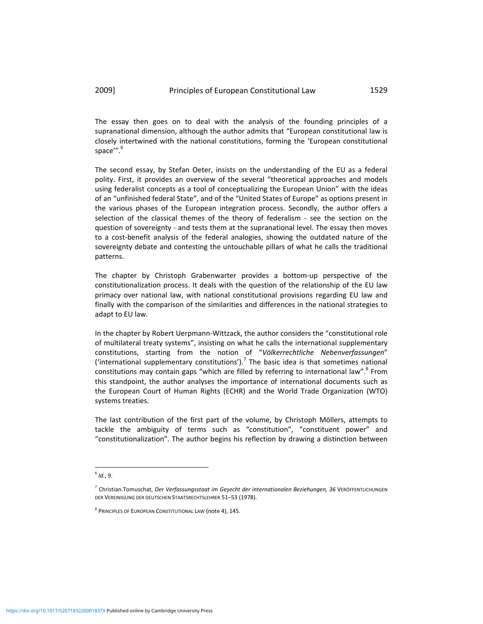### 2009] Principles of European Constitutional Law 1529

The essay then goes on to deal with the analysis of the founding principles of a supranational dimension, although the author admits that "European constitutional law is closely intertwined with the national constitutions, forming the 'European constitutional space'".<sup>6</sup>

The second essay, by Stefan Oeter, insists on the understanding of the EU as a federal polity. First, it provides an overview of the several "theoretical approaches and models using federalist concepts as a tool of conceptualizing the European Union" with the ideas of an "unfinished federal State", and of the "United States of Europe" as options present in the various phases of the European integration process. Secondly, the author offers a selection of the classical themes of the theory of federalism - see the section on the question of sovereignty ‐ and tests them at the supranational level. The essay then moves to a cost-benefit analysis of the federal analogies, showing the outdated nature of the sovereignty debate and contesting the untouchable pillars of what he calls the traditional patterns.

The chapter by Christoph Grabenwarter provides a bottom-up perspective of the constitutionalization process. It deals with the question of the relationship of the EU law primacy over national law, with national constitutional provisions regarding EU law and finally with the comparison of the similarities and differences in the national strategies to adapt to EU law.

In the chapter by Robert Uerpmann‐Wittzack, the author considers the "constitutional role of multilateral treaty systems", insisting on what he calls the international supplementary constitutions, starting from the notion of "*Völkerrechtliche Nebenverfassungen*" ('international supplementary constitutions').<sup>7</sup> The basic idea is that sometimes national constitutions may contain gaps "which are filled by referring to international law".<sup>8</sup> From this standpoint, the author analyses the importance of international documents such as the European Court of Human Rights (ECHR) and the World Trade Organization (WTO) systems treaties.

The last contribution of the first part of the volume, by Christoph Möllers, attempts to tackle the ambiguity of terms such as "constitution", "constituent power" and "constitutionalization". The author begins his reflection by drawing a distinction between

 $\overline{a}$ 

<sup>6</sup> *Id*., 9.

<sup>7</sup> Christian.Tomuschat, *Der Verfassungsstaat im Geşecht der internationalen Beziehungen, 36* VERÖFFENTLICHUNGEN DER VEREINIGUNG DER DEUTSCHEN STAATSRECHTSLEHRER 51–53 (1978).

<sup>8</sup> PRINCIPLES OF EUROPEAN CONSTITUTIONAL LAW (note 4), 145.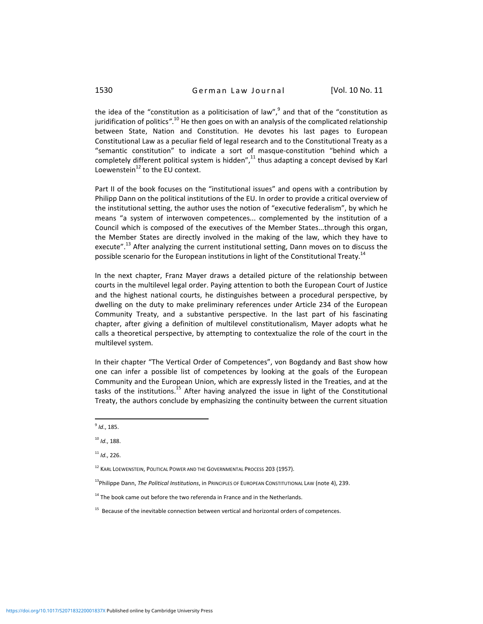the idea of the "constitution as a politicisation of law", $9$  and that of the "constitution as juridification of politics".<sup>10</sup> He then goes on with an analysis of the complicated relationship between State, Nation and Constitution. He devotes his last pages to European Constitutional Law as a peculiar field of legal research and to the Constitutional Treaty as a "semantic constitution" to indicate a sort of masque‐constitution "behind which a completely different political system is hidden",<sup>11</sup> thus adapting a concept devised by Karl Loewenstein $^{12}$  to the EU context.

Part II of the book focuses on the "institutional issues" and opens with a contribution by Philipp Dann on the political institutions of the EU. In order to provide a critical overview of the institutional setting, the author uses the notion of "executive federalism", by which he means "a system of interwoven competences... complemented by the institution of a Council which is composed of the executives of the Member States...through this organ, the Member States are directly involved in the making of the law, which they have to execute".<sup>13</sup> After analyzing the current institutional setting, Dann moves on to discuss the possible scenario for the European institutions in light of the Constitutional Treaty.<sup>14</sup>

In the next chapter, Franz Mayer draws a detailed picture of the relationship between courts in the multilevel legal order. Paying attention to both the European Court of Justice and the highest national courts, he distinguishes between a procedural perspective, by dwelling on the duty to make preliminary references under Article 234 of the European Community Treaty, and a substantive perspective. In the last part of his fascinating chapter, after giving a definition of multilevel constitutionalism, Mayer adopts what he calls a theoretical perspective, by attempting to contextualize the role of the court in the multilevel system.

In their chapter "The Vertical Order of Competences", von Bogdandy and Bast show how one can infer a possible list of competences by looking at the goals of the European Community and the European Union, which are expressly listed in the Treaties, and at the tasks of the institutions.<sup>15</sup> After having analyzed the issue in light of the Constitutional Treaty, the authors conclude by emphasizing the continuity between the current situation

  $<sup>9</sup>$  *Id.*, 185.</sup>

<sup>10</sup> *Id*., 188.

<sup>11</sup> *Id*., 226.

<sup>&</sup>lt;sup>12</sup> KARL LOEWENSTEIN, POLITICAL POWER AND THE GOVERNMENTAL PROCESS 203 (1957).

<sup>13</sup>Philippe Dann, *The Political Institutions*, in PRINCIPLES OF EUROPEAN CONSTITUTIONAL LAW (note 4), 239.

 $14$  The book came out before the two referenda in France and in the Netherlands.

<sup>&</sup>lt;sup>15</sup> Because of the inevitable connection between vertical and horizontal orders of competences.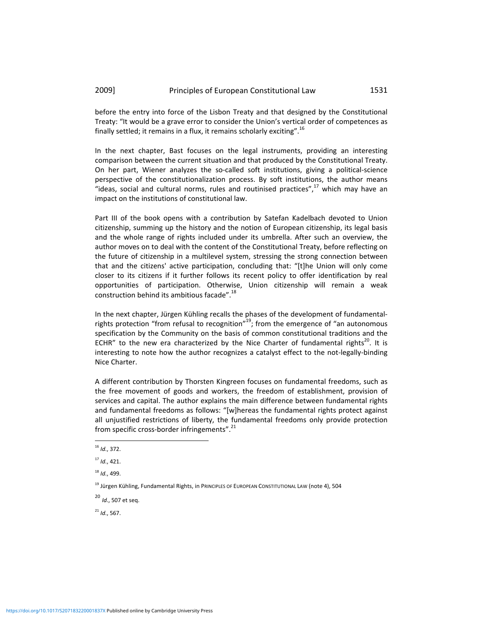before the entry into force of the Lisbon Treaty and that designed by the Constitutional Treaty: "It would be a grave error to consider the Union's vertical order of competences as finally settled; it remains in a flux, it remains scholarly exciting".  $^{16}$ 

In the next chapter, Bast focuses on the legal instruments, providing an interesting comparison between the current situation and that produced by the Constitutional Treaty. On her part, Wiener analyzes the so-called soft institutions, giving a political-science perspective of the constitutionalization process. By soft institutions, the author means "ideas, social and cultural norms, rules and routinised practices", $^{17}$  which may have an impact on the institutions of constitutional law.

Part III of the book opens with a contribution by Satefan Kadelbach devoted to Union citizenship, summing up the history and the notion of European citizenship, its legal basis and the whole range of rights included under its umbrella. After such an overview, the author moves on to deal with the content of the Constitutional Treaty, before reflecting on the future of citizenship in a multilevel system, stressing the strong connection between that and the citizens' active participation, concluding that: "[t]he Union will only come closer to its citizens if it further follows its recent policy to offer identification by real opportunities of participation. Otherwise, Union citizenship will remain a weak construction behind its ambitious facade".<sup>18</sup>

In the next chapter, Jürgen Kühling recalls the phases of the development of fundamental‐ rights protection "from refusal to recognition"<sup>19</sup>; from the emergence of "an autonomous specification by the Community on the basis of common constitutional traditions and the ECHR" to the new era characterized by the Nice Charter of fundamental rights<sup>20</sup>. It is interesting to note how the author recognizes a catalyst effect to the not‐legally‐binding Nice Charter.

A different contribution by Thorsten Kingreen focuses on fundamental freedoms, such as the free movement of goods and workers, the freedom of establishment, provision of services and capital. The author explains the main difference between fundamental rights and fundamental freedoms as follows: "[w]hereas the fundamental rights protect against all unjustified restrictions of liberty, the fundamental freedoms only provide protection from specific cross-border infringements".<sup>21</sup>

<sup>20</sup> *Id*., <sup>507</sup> et seq.

<sup>21</sup> *Id*., 567.

<sup>16</sup> *Id*., 372.

<sup>17</sup> *Id*., 421.

<sup>18</sup> *Id*., 499.

<sup>&</sup>lt;sup>19</sup> Jürgen Kühling, Fundamental Rights, in PRINCIPLES OF EUROPEAN CONSTITUTIONAL LAW (note 4), 504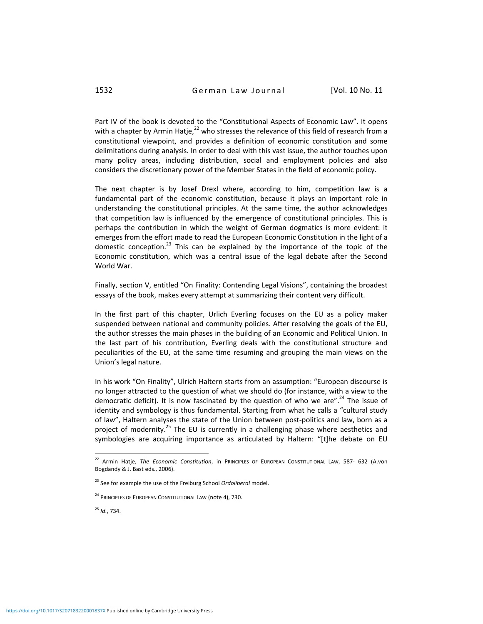Part IV of the book is devoted to the "Constitutional Aspects of Economic Law". It opens with a chapter by Armin Hatje, $^{22}$  who stresses the relevance of this field of research from a constitutional viewpoint, and provides a definition of economic constitution and some delimitations during analysis. In order to deal with this vast issue, the author touches upon many policy areas, including distribution, social and employment policies and also considers the discretionary power of the Member States in the field of economic policy.

The next chapter is by Josef Drexl where, according to him, competition law is a fundamental part of the economic constitution, because it plays an important role in understanding the constitutional principles. At the same time, the author acknowledges that competition law is influenced by the emergence of constitutional principles. This is perhaps the contribution in which the weight of German dogmatics is more evident: it emerges from the effort made to read the European Economic Constitution in the light of a domestic conception.<sup>23</sup> This can be explained by the importance of the topic of the Economic constitution, which was a central issue of the legal debate after the Second World War.

Finally, section V, entitled "On Finality: Contending Legal Visions", containing the broadest essays of the book, makes every attempt at summarizing their content very difficult.

In the first part of this chapter, Urlich Everling focuses on the EU as a policy maker suspended between national and community policies. After resolving the goals of the EU, the author stresses the main phases in the building of an Economic and Political Union. In the last part of his contribution, Everling deals with the constitutional structure and peculiarities of the EU, at the same time resuming and grouping the main views on the Union's legal nature.

In his work "On Finality", Ulrich Haltern starts from an assumption: "European discourse is no longer attracted to the question of what we should do (for instance, with a view to the democratic deficit). It is now fascinated by the question of who we are".<sup>24</sup> The issue of identity and symbology is thus fundamental. Starting from what he calls a "cultural study of law", Haltern analyses the state of the Union between post‐politics and law, born as a project of modernity.<sup>25</sup> The EU is currently in a challenging phase where aesthetics and symbologies are acquiring importance as articulated by Haltern: "[t]he debate on EU

<sup>25</sup> *Id*., 734.

<sup>22</sup> Armin Hatje, *The Economic Constitution*, in PRINCIPLES OF EUROPEAN CONSTITUTIONAL LAW, 587‐ 632 (A.von Bogdandy & J. Bast eds., 2006).

<sup>23</sup> See for example the use of the Freiburg School *Ordoliberal* model.

<sup>&</sup>lt;sup>24</sup> PRINCIPLES OF EUROPEAN CONSTITUTIONAL LAW (note 4), 730.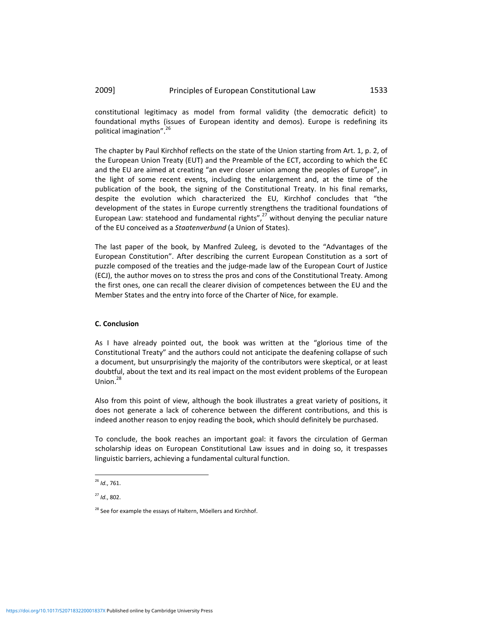constitutional legitimacy as model from formal validity (the democratic deficit) to foundational myths (issues of European identity and demos). Europe is redefining its political imagination".<sup>26</sup>

The chapter by Paul Kirchhof reflects on the state of the Union starting from Art. 1, p. 2, of the European Union Treaty (EUT) and the Preamble of the ECT, according to which the EC and the EU are aimed at creating "an ever closer union among the peoples of Europe", in the light of some recent events, including the enlargement and, at the time of the publication of the book, the signing of the Constitutional Treaty. In his final remarks, despite the evolution which characterized the EU, Kirchhof concludes that "the development of the states in Europe currently strengthens the traditional foundations of European Law: statehood and fundamental rights", $27$  without denying the peculiar nature of the EU conceived as a *Staatenverbund* (a Union of States).

The last paper of the book, by Manfred Zuleeg, is devoted to the "Advantages of the European Constitution". After describing the current European Constitution as a sort of puzzle composed of the treaties and the judge‐made law of the European Court of Justice (ECJ), the author moves on to stress the pros and cons of the Constitutional Treaty. Among the first ones, one can recall the clearer division of competences between the EU and the Member States and the entry into force of the Charter of Nice, for example.

#### **C. Conclusion**

As I have already pointed out, the book was written at the "glorious time of the Constitutional Treaty" and the authors could not anticipate the deafening collapse of such a document, but unsurprisingly the majority of the contributors were skeptical, or at least doubtful, about the text and its real impact on the most evident problems of the European Union. $^{28}$ 

Also from this point of view, although the book illustrates a great variety of positions, it does not generate a lack of coherence between the different contributions, and this is indeed another reason to enjoy reading the book, which should definitely be purchased.

To conclude, the book reaches an important goal: it favors the circulation of German scholarship ideas on European Constitutional Law issues and in doing so, it trespasses linguistic barriers, achieving a fundamental cultural function.

<sup>26</sup> *Id*., 761.

<sup>27</sup> *Id*., 802.

<sup>&</sup>lt;sup>28</sup> See for example the essays of Haltern, Möellers and Kirchhof.